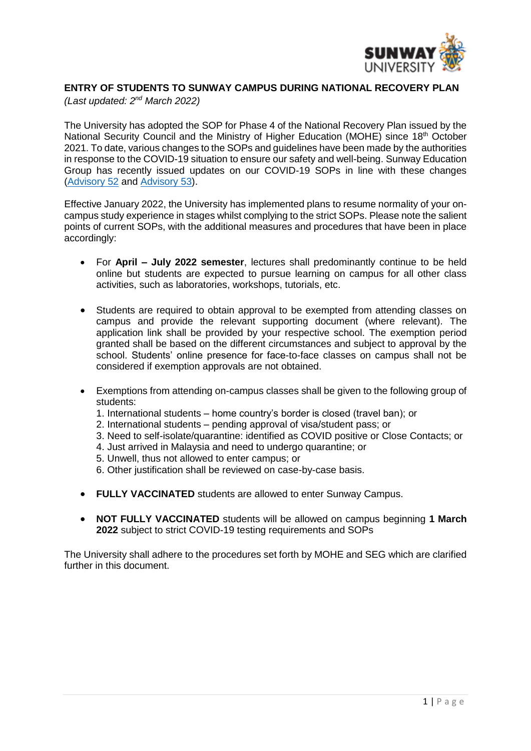

# **ENTRY OF STUDENTS TO SUNWAY CAMPUS DURING NATIONAL RECOVERY PLAN**

*(Last updated: 2 nd March 2022)*

The University has adopted the SOP for Phase 4 of the National Recovery Plan issued by the National Security Council and the Ministry of Higher Education (MOHE) since 18<sup>th</sup> October 2021. To date, various changes to the SOPs and guidelines have been made by the authorities in response to the COVID-19 situation to ensure our safety and well-being. Sunway Education Group has recently issued updates on our COVID-19 SOPs in line with these changes [\(Advisory 52](https://sunway.edu.my/sites/default/files/COVID_19_Advisory_52.pdf) and [Advisory 53\)](https://sunway.edu.my/sites/default/files/COVID_19_Advisory_53.pdf).

Effective January 2022, the University has implemented plans to resume normality of your oncampus study experience in stages whilst complying to the strict SOPs. Please note the salient points of current SOPs, with the additional measures and procedures that have been in place accordingly:

- For **April – July 2022 semester**, lectures shall predominantly continue to be held online but students are expected to pursue learning on campus for all other class activities, such as laboratories, workshops, tutorials, etc.
- Students are required to obtain approval to be exempted from attending classes on campus and provide the relevant supporting document (where relevant). The application link shall be provided by your respective school. The exemption period granted shall be based on the different circumstances and subject to approval by the school. Students' online presence for face-to-face classes on campus shall not be considered if exemption approvals are not obtained.
- Exemptions from attending on-campus classes shall be given to the following group of students:
	- 1. International students home country's border is closed (travel ban); or
	- 2. International students pending approval of visa/student pass; or
	- 3. Need to self-isolate/quarantine: identified as COVID positive or Close Contacts; or
	- 4. Just arrived in Malaysia and need to undergo quarantine; or
	- 5. Unwell, thus not allowed to enter campus; or
	- 6. Other justification shall be reviewed on case-by-case basis.
- **FULLY VACCINATED** students are allowed to enter Sunway Campus.
- **NOT FULLY VACCINATED** students will be allowed on campus beginning **1 March 2022** subject to strict COVID-19 testing requirements and SOPs

The University shall adhere to the procedures set forth by MOHE and SEG which are clarified further in this document.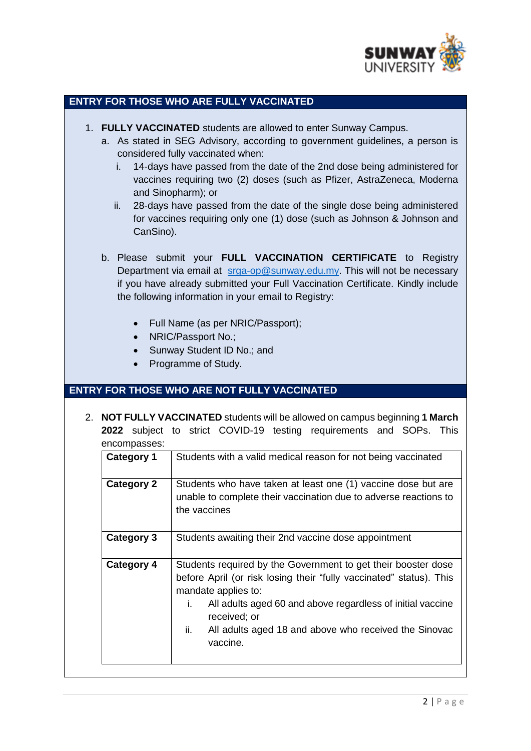

#### **ENTRY FOR THOSE WHO ARE FULLY VACCINATED**

- 1. **FULLY VACCINATED** students are allowed to enter Sunway Campus.
	- a. As stated in SEG Advisory, according to government guidelines, a person is considered fully vaccinated when:
		- i. 14-days have passed from the date of the 2nd dose being administered for vaccines requiring two (2) doses (such as Pfizer, AstraZeneca, Moderna and Sinopharm); or
		- ii. 28-days have passed from the date of the single dose being administered for vaccines requiring only one (1) dose (such as Johnson & Johnson and CanSino).
	- b. Please submit your **FULL VACCINATION CERTIFICATE** to Registry Department via email at [srga-op@sunway.edu.my.](mailto:srga-op@sunway.edu.my) This will not be necessary if you have already submitted your Full Vaccination Certificate. Kindly include the following information in your email to Registry:
		- Full Name (as per NRIC/Passport);
		- NRIC/Passport No.;
		- Sunway Student ID No.; and
		- Programme of Study.

## **ENTRY FOR THOSE WHO ARE NOT FULLY VACCINATED**

2. **NOT FULLY VACCINATED** students will be allowed on campus beginning **1 March 2022** subject to strict COVID-19 testing requirements and SOPs. This encompasses:

| <b>Category 1</b> | Students with a valid medical reason for not being vaccinated                                                                                                                                                                                                                                                               |  |  |
|-------------------|-----------------------------------------------------------------------------------------------------------------------------------------------------------------------------------------------------------------------------------------------------------------------------------------------------------------------------|--|--|
| <b>Category 2</b> | Students who have taken at least one (1) vaccine dose but are<br>unable to complete their vaccination due to adverse reactions to<br>the vaccines                                                                                                                                                                           |  |  |
| Category 3        | Students awaiting their 2nd vaccine dose appointment                                                                                                                                                                                                                                                                        |  |  |
| <b>Category 4</b> | Students required by the Government to get their booster dose<br>before April (or risk losing their "fully vaccinated" status). This<br>mandate applies to:<br>All adults aged 60 and above regardless of initial vaccine<br>i.<br>received; or<br>All adults aged 18 and above who received the Sinovac<br>ii.<br>vaccine. |  |  |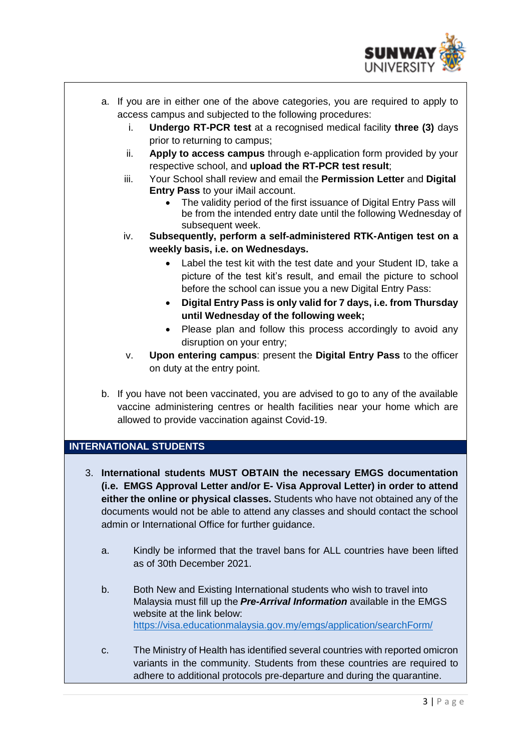

- a. If you are in either one of the above categories, you are required to apply to access campus and subjected to the following procedures:
	- i. **Undergo RT-PCR test** at a recognised medical facility **three (3)** days prior to returning to campus;
	- ii. **Apply to access campus** through e-application form provided by your respective school, and **upload the RT-PCR test result**;
	- iii. Your School shall review and email the **Permission Letter** and **Digital Entry Pass** to your iMail account.
		- The validity period of the first issuance of Digital Entry Pass will be from the intended entry date until the following Wednesday of subsequent week.
	- iv. **Subsequently, perform a self-administered RTK-Antigen test on a weekly basis, i.e. on Wednesdays.** 
		- Label the test kit with the test date and your Student ID, take a picture of the test kit's result, and email the picture to school before the school can issue you a new Digital Entry Pass:
		- **Digital Entry Pass is only valid for 7 days, i.e. from Thursday until Wednesday of the following week;**
		- Please plan and follow this process accordingly to avoid any disruption on your entry;
	- v. **Upon entering campus**: present the **Digital Entry Pass** to the officer on duty at the entry point.
- b. If you have not been vaccinated, you are advised to go to any of the available vaccine administering centres or health facilities near your home which are allowed to provide vaccination against Covid-19.

## **INTERNATIONAL STUDENTS**

- 3. **International students MUST OBTAIN the necessary EMGS documentation (i.e. EMGS Approval Letter and/or E- Visa Approval Letter) in order to attend either the online or physical classes.** Students who have not obtained any of the documents would not be able to attend any classes and should contact the school admin or International Office for further guidance.
	- a. Kindly be informed that the travel bans for ALL countries have been lifted as of 30th December 2021.
	- b. Both New and Existing International students who wish to travel into Malaysia must fill up the *Pre-Arrival Information* available in the EMGS website at the link below: <https://visa.educationmalaysia.gov.my/emgs/application/searchForm/>
	- c. The Ministry of Health has identified several countries with reported omicron variants in the community. Students from these countries are required to adhere to additional protocols pre-departure and during the quarantine.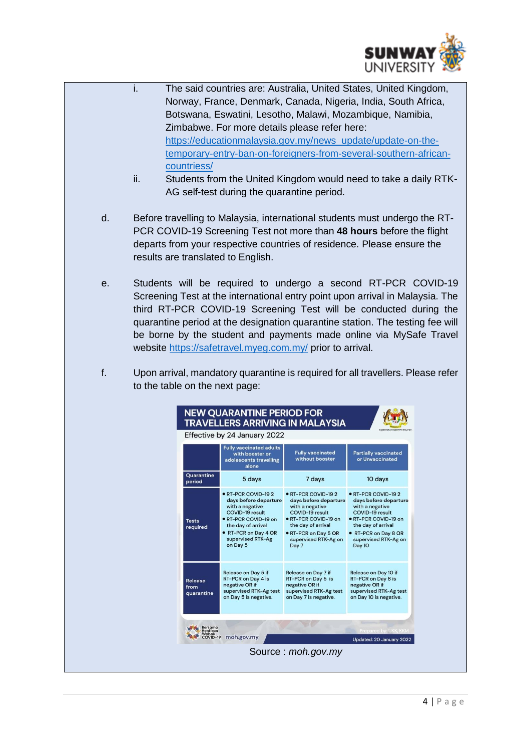

- i. The said countries are: Australia, United States, United Kingdom, Norway, France, Denmark, Canada, Nigeria, India, South Africa, Botswana, Eswatini, Lesotho, Malawi, Mozambique, Namibia, Zimbabwe. For more details please refer here: [https://educationmalaysia.gov.my/news\\_update/update-on-the](https://educationmalaysia.gov.my/news_update/update-on-the-temporary-entry-ban-on-foreigners-from-several-southern-african-countriess/)[temporary-entry-ban-on-foreigners-from-several-southern-african](https://educationmalaysia.gov.my/news_update/update-on-the-temporary-entry-ban-on-foreigners-from-several-southern-african-countriess/)[countriess/](https://educationmalaysia.gov.my/news_update/update-on-the-temporary-entry-ban-on-foreigners-from-several-southern-african-countriess/)
- ii. Students from the United Kingdom would need to take a daily RTK-AG self-test during the quarantine period.
- d. Before travelling to Malaysia, international students must undergo the RT-PCR COVID-19 Screening Test not more than **48 hours** before the flight departs from your respective countries of residence. Please ensure the results are translated to English.
- e. Students will be required to undergo a second RT-PCR COVID-19 Screening Test at the international entry point upon arrival in Malaysia. The third RT-PCR COVID-19 Screening Test will be conducted during the quarantine period at the designation quarantine station. The testing fee will be borne by the student and payments made online via MySafe Travel website<https://safetravel.myeg.com.my/> prior to arrival.
- f. Upon arrival, mandatory quarantine is required for all travellers. Please refer to the table on the next page:

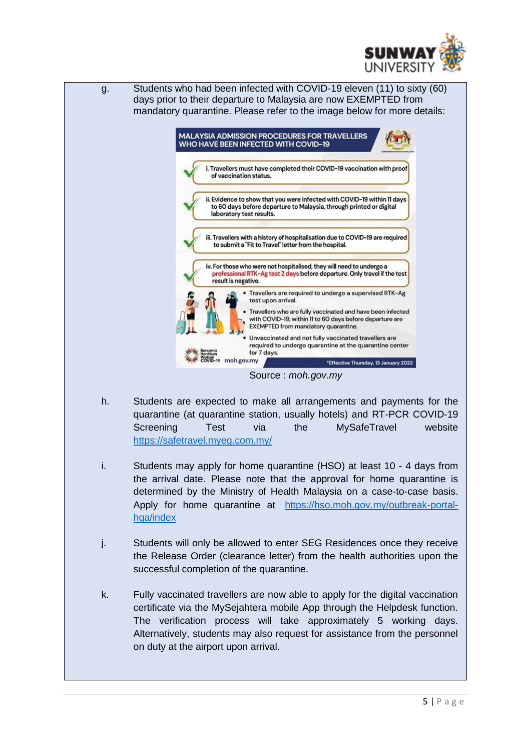



- h. Students are expected to make all arrangements and payments for the quarantine (at quarantine station, usually hotels) and RT-PCR COVID-19 Screening Test via the MySafeTravel website <https://safetravel.myeg.com.my/>
- i. Students may apply for home quarantine (HSO) at least 10 4 days from the arrival date. Please note that the approval for home quarantine is determined by the Ministry of Health Malaysia on a case-to-case basis. Apply for home quarantine at [https://hso.moh.gov.my/outbreak-portal](https://hso.moh.gov.my/outbreak-portal-hqa/index)[hqa/index](https://hso.moh.gov.my/outbreak-portal-hqa/index)
- j. Students will only be allowed to enter SEG Residences once they receive the Release Order (clearance letter) from the health authorities upon the successful completion of the quarantine.
- k. Fully vaccinated travellers are now able to apply for the digital vaccination certificate via the MySejahtera mobile App through the Helpdesk function. The verification process will take approximately 5 working days. Alternatively, students may also request for assistance from the personnel on duty at the airport upon arrival.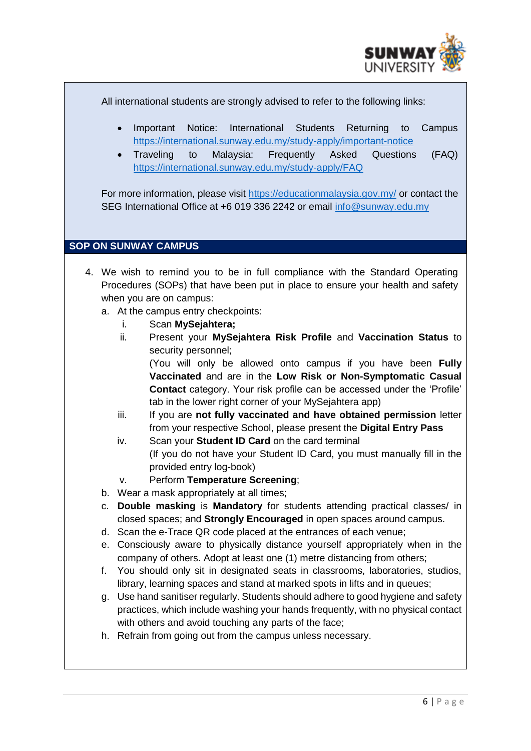

All international students are strongly advised to refer to the following links:

- Important Notice: International Students Returning to Campus <https://international.sunway.edu.my/study-apply/important-notice>
- Traveling to Malaysia: Frequently Asked Questions (FAQ) <https://international.sunway.edu.my/study-apply/FAQ>

For more information, please visit<https://educationmalaysia.gov.my/> or contact the SEG International Office at +6 019 336 2242 or email [info@sunway.edu.my](mailto:info@sunway.edu.my)

# **SOP ON SUNWAY CAMPUS**

- 4. We wish to remind you to be in full compliance with the Standard Operating Procedures (SOPs) that have been put in place to ensure your health and safety when you are on campus:
	- a. At the campus entry checkpoints:
		- i. Scan **MySejahtera;**
		- ii. Present your **MySejahtera Risk Profile** and **Vaccination Status** to security personnel;

(You will only be allowed onto campus if you have been **Fully Vaccinated** and are in the **Low Risk or Non-Symptomatic Casual Contact** category. Your risk profile can be accessed under the 'Profile' tab in the lower right corner of your MySejahtera app)

- iii. If you are **not fully vaccinated and have obtained permission** letter from your respective School, please present the **Digital Entry Pass**
- iv. Scan your **Student ID Card** on the card terminal (If you do not have your Student ID Card, you must manually fill in the provided entry log-book)
- v. Perform **Temperature Screening**;
- b. Wear a mask appropriately at all times;
- c. **Double masking** is **Mandatory** for students attending practical classes/ in closed spaces; and **Strongly Encouraged** in open spaces around campus.
- d. Scan the e-Trace QR code placed at the entrances of each venue;
- e. Consciously aware to physically distance yourself appropriately when in the company of others. Adopt at least one (1) metre distancing from others;
- f. You should only sit in designated seats in classrooms, laboratories, studios, library, learning spaces and stand at marked spots in lifts and in queues;
- g. Use hand sanitiser regularly. Students should adhere to good hygiene and safety practices, which include washing your hands frequently, with no physical contact with others and avoid touching any parts of the face;
- h. Refrain from going out from the campus unless necessary.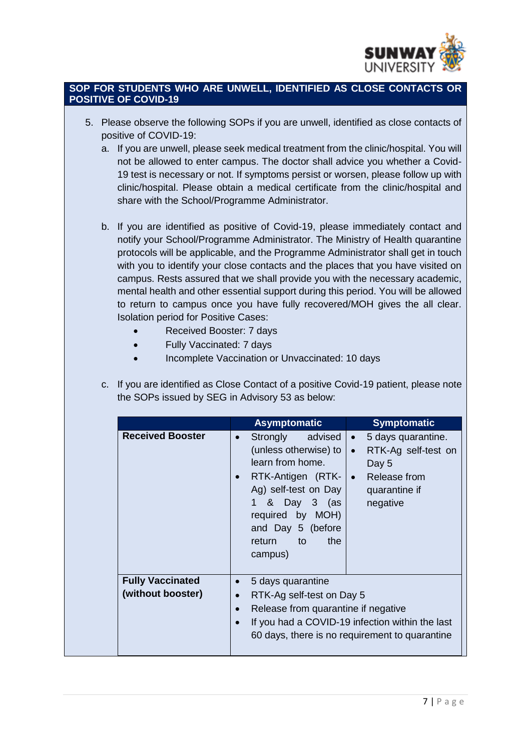

### **SOP FOR STUDENTS WHO ARE UNWELL, IDENTIFIED AS CLOSE CONTACTS OR POSITIVE OF COVID-19**

- 5. Please observe the following SOPs if you are unwell, identified as close contacts of positive of COVID-19:
	- a. If you are unwell, please seek medical treatment from the clinic/hospital. You will not be allowed to enter campus. The doctor shall advice you whether a Covid-19 test is necessary or not. If symptoms persist or worsen, please follow up with clinic/hospital. Please obtain a medical certificate from the clinic/hospital and share with the School/Programme Administrator.
	- b. If you are identified as positive of Covid-19, please immediately contact and notify your School/Programme Administrator. The Ministry of Health quarantine protocols will be applicable, and the Programme Administrator shall get in touch with you to identify your close contacts and the places that you have visited on campus. Rests assured that we shall provide you with the necessary academic, mental health and other essential support during this period. You will be allowed to return to campus once you have fully recovered/MOH gives the all clear. Isolation period for Positive Cases:
		- Received Booster: 7 days
		- Fully Vaccinated: 7 days
		- Incomplete Vaccination or Unvaccinated: 10 days
	- c. If you are identified as Close Contact of a positive Covid-19 patient, please note the SOPs issued by SEG in Advisory 53 as below:

|                                              | <b>Asymptomatic</b>                                                                                                                                                                                                        | <b>Symptomatic</b>                                                                                                                                                    |  |
|----------------------------------------------|----------------------------------------------------------------------------------------------------------------------------------------------------------------------------------------------------------------------------|-----------------------------------------------------------------------------------------------------------------------------------------------------------------------|--|
| <b>Received Booster</b>                      | advised<br>Strongly<br>$\bullet$<br>(unless otherwise) to<br>learn from home.<br>RTK-Antigen (RTK-<br>Ag) self-test on Day<br>& Day 3 (as<br>1.<br>required by MOH)<br>and Day 5 (before<br>the<br>return<br>to<br>campus) | 5 days quarantine.<br>$\bullet$<br>RTK-Ag self-test on<br>$\bullet$<br>Day 5<br>Release from<br>$\bullet$<br>quarantine if<br>negative                                |  |
| <b>Fully Vaccinated</b><br>(without booster) | 5 days quarantine<br>$\bullet$<br>$\bullet$                                                                                                                                                                                | RTK-Ag self-test on Day 5<br>Release from quarantine if negative<br>If you had a COVID-19 infection within the last<br>60 days, there is no requirement to quarantine |  |